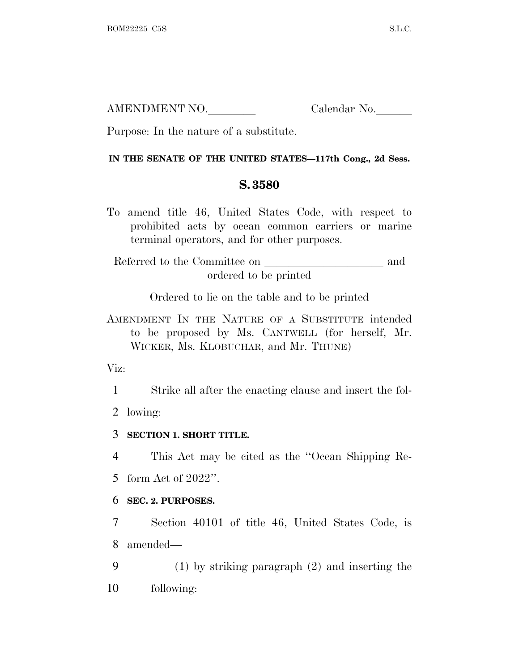| AMENDMENT NO. | Calendar No. |
|---------------|--------------|
|               |              |

Purpose: In the nature of a substitute.

#### **IN THE SENATE OF THE UNITED STATES—117th Cong., 2d Sess.**

## **S. 3580**

To amend title 46, United States Code, with respect to prohibited acts by ocean common carriers or marine terminal operators, and for other purposes.

Referred to the Committee on and ordered to be printed

Ordered to lie on the table and to be printed

AMENDMENT IN THE NATURE OF A SUBSTITUTE intended to be proposed by Ms. CANTWELL (for herself, Mr. WICKER, Ms. KLOBUCHAR, and Mr. THUNE)

Viz:

1 Strike all after the enacting clause and insert the fol-

2 lowing:

3 **SECTION 1. SHORT TITLE.**

4 This Act may be cited as the ''Ocean Shipping Re-

5 form Act of 2022''.

## 6 **SEC. 2. PURPOSES.**

7 Section 40101 of title 46, United States Code, is 8 amended—

9 (1) by striking paragraph (2) and inserting the 10 following: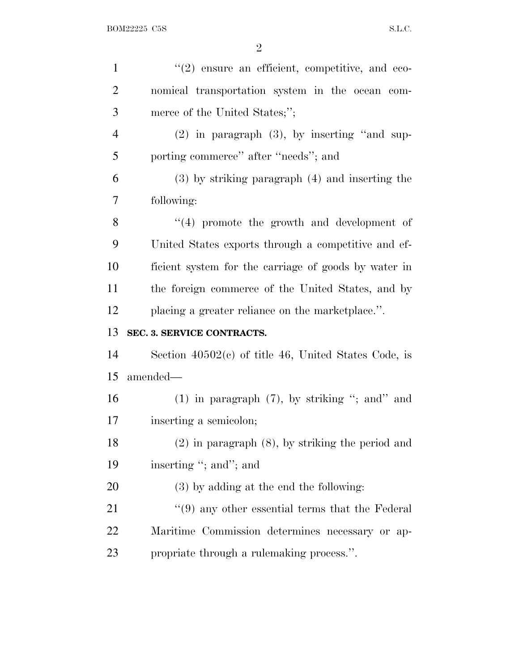| $\mathbf{1}$   | $\lq(2)$ ensure an efficient, competitive, and eco-             |
|----------------|-----------------------------------------------------------------|
| $\overline{2}$ | nomical transportation system in the ocean com-                 |
| 3              | merce of the United States;";                                   |
| $\overline{4}$ | $(2)$ in paragraph $(3)$ , by inserting "and sup-               |
| 5              | porting commerce" after "needs"; and                            |
| 6              | $(3)$ by striking paragraph $(4)$ and inserting the             |
| 7              | following:                                                      |
| 8              | $``(4)$ promote the growth and development of                   |
| 9              | United States exports through a competitive and ef-             |
| 10             | ficient system for the carriage of goods by water in            |
| 11             | the foreign commerce of the United States, and by               |
| 12             | placing a greater reliance on the marketplace.".                |
| 13             | SEC. 3. SERVICE CONTRACTS.                                      |
| 14             | Section $40502(c)$ of title 46, United States Code, is          |
|                |                                                                 |
| 15             | amended—                                                        |
| 16             | $(1)$ in paragraph $(7)$ , by striking "; and" and              |
| 17             | inserting a semicolon;                                          |
| 18             | $(2)$ in paragraph $(8)$ , by striking the period and           |
| 19             | inserting "; and"; and                                          |
| 20             | $(3)$ by adding at the end the following:                       |
| 21             | $\cdot\cdot\cdot(9)$ any other essential terms that the Federal |
| 22             | Maritime Commission determines necessary or ap-                 |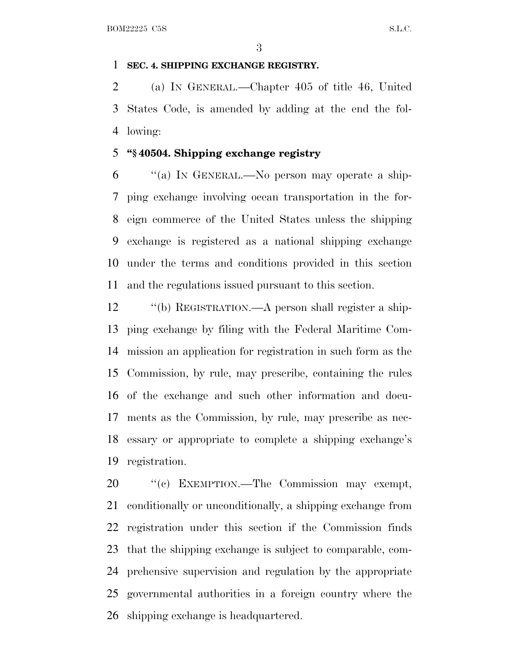#### **SEC. 4. SHIPPING EXCHANGE REGISTRY.**

 (a) I<sup>N</sup> GENERAL.—Chapter 405 of title 46, United States Code, is amended by adding at the end the fol-lowing:

#### **''§ 40504. Shipping exchange registry**

 ''(a) I<sup>N</sup> GENERAL.—No person may operate a ship- ping exchange involving ocean transportation in the for- eign commerce of the United States unless the shipping exchange is registered as a national shipping exchange under the terms and conditions provided in this section and the regulations issued pursuant to this section.

 ''(b) REGISTRATION.—A person shall register a ship- ping exchange by filing with the Federal Maritime Com- mission an application for registration in such form as the Commission, by rule, may prescribe, containing the rules of the exchange and such other information and docu- ments as the Commission, by rule, may prescribe as nec- essary or appropriate to complete a shipping exchange's registration.

20 "(c) EXEMPTION.—The Commission may exempt, conditionally or unconditionally, a shipping exchange from registration under this section if the Commission finds that the shipping exchange is subject to comparable, com- prehensive supervision and regulation by the appropriate governmental authorities in a foreign country where the shipping exchange is headquartered.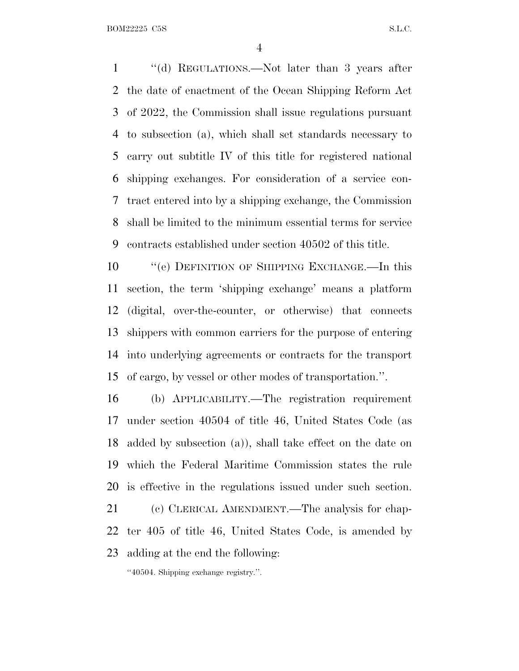BOM22225 C5S S.L.C.

 ''(d) REGULATIONS.—Not later than 3 years after the date of enactment of the Ocean Shipping Reform Act of 2022, the Commission shall issue regulations pursuant to subsection (a), which shall set standards necessary to carry out subtitle IV of this title for registered national shipping exchanges. For consideration of a service con- tract entered into by a shipping exchange, the Commission shall be limited to the minimum essential terms for service contracts established under section 40502 of this title.

 ''(e) DEFINITION OF SHIPPING EXCHANGE.—In this section, the term 'shipping exchange' means a platform (digital, over-the-counter, or otherwise) that connects shippers with common carriers for the purpose of entering into underlying agreements or contracts for the transport of cargo, by vessel or other modes of transportation.''.

 (b) APPLICABILITY.—The registration requirement under section 40504 of title 46, United States Code (as added by subsection (a)), shall take effect on the date on which the Federal Maritime Commission states the rule is effective in the regulations issued under such section. (c) CLERICAL AMENDMENT.—The analysis for chap-

 ter 405 of title 46, United States Code, is amended by adding at the end the following:

''40504. Shipping exchange registry.''.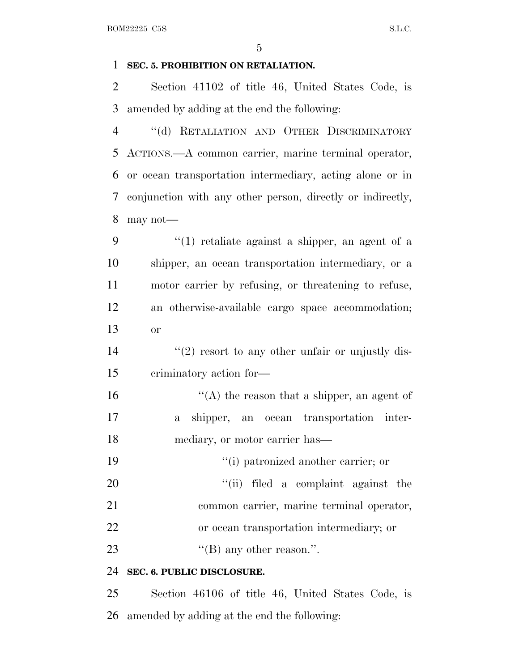#### **SEC. 5. PROHIBITION ON RETALIATION.**

 Section 41102 of title 46, United States Code, is amended by adding at the end the following:

4 "(d) RETALIATION AND OTHER DISCRIMINATORY ACTIONS.—A common carrier, marine terminal operator, or ocean transportation intermediary, acting alone or in conjunction with any other person, directly or indirectly, may not—

 ''(1) retaliate against a shipper, an agent of a shipper, an ocean transportation intermediary, or a motor carrier by refusing, or threatening to refuse, an otherwise-available cargo space accommodation; or

 $\frac{14}{2}$  ''(2) resort to any other unfair or unjustly dis-criminatory action for—

 $'$ (A) the reason that a shipper, an agent of a shipper, an ocean transportation inter-mediary, or motor carrier has—

19  $\frac{1}{10}$  patronized another carrier; or

20  $\frac{1}{1}$  filed a complaint against the

- common carrier, marine terminal operator,
- or ocean transportation intermediary; or

23  $\text{``(B) any other reason."}.$ 

## **SEC. 6. PUBLIC DISCLOSURE.**

 Section 46106 of title 46, United States Code, is amended by adding at the end the following: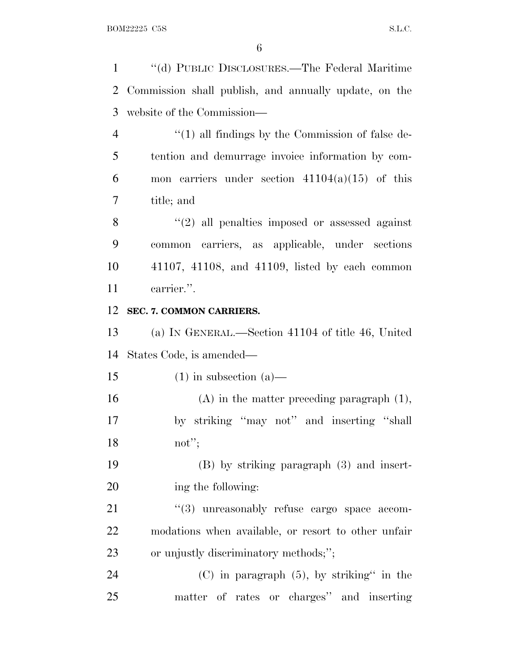''(d) PUBLIC DISCLOSURES.—The Federal Maritime Commission shall publish, and annually update, on the website of the Commission— 4 "(1) all findings by the Commission of false de- tention and demurrage invoice information by com-6 mon carriers under section  $41104(a)(15)$  of this title; and ''(2) all penalties imposed or assessed against common carriers, as applicable, under sections 41107, 41108, and 41109, listed by each common carrier.''. **SEC. 7. COMMON CARRIERS.** (a) I<sup>N</sup> GENERAL.—Section 41104 of title 46, United States Code, is amended— 15 (1) in subsection (a)— (A) in the matter preceding paragraph (1), by striking ''may not'' and inserting ''shall not''; (B) by striking paragraph (3) and insert- ing the following:  $(3)$  unreasonably refuse cargo space accom- modations when available, or resort to other unfair or unjustly discriminatory methods;''; (C) in paragraph (5), by striking'' in the matter of rates or charges'' and inserting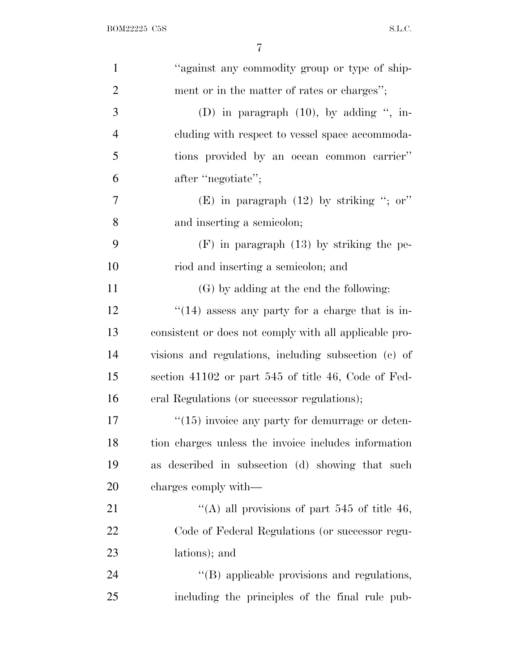| $\mathbf{1}$   | "against any commodity group or type of ship-          |
|----------------|--------------------------------------------------------|
| $\overline{2}$ | ment or in the matter of rates or charges";            |
| 3              | (D) in paragraph $(10)$ , by adding ", in-             |
| $\overline{4}$ | cluding with respect to vessel space accommoda-        |
| 5              | tions provided by an ocean common carrier"             |
| 6              | after "negotiate";                                     |
| 7              | (E) in paragraph $(12)$ by striking "; or"             |
| 8              | and inserting a semicolon;                             |
| 9              | $(F)$ in paragraph $(13)$ by striking the pe-          |
| 10             | riod and inserting a semicolon; and                    |
| 11             | (G) by adding at the end the following:                |
| 12             | $``(14)$ assess any party for a charge that is in-     |
| 13             | consistent or does not comply with all applicable pro- |
| 14             | visions and regulations, including subsection (c) of   |
| 15             | section 41102 or part 545 of title 46, Code of Fed-    |
| 16             | eral Regulations (or successor regulations);           |
| 17             | $"(15)$ invoice any party for demurrage or deten-      |
| 18             | tion charges unless the invoice includes information   |
| 19             | as described in subsection (d) showing that such       |
| 20             | charges comply with—                                   |
| 21             | "(A) all provisions of part $545$ of title 46,         |
| 22             | Code of Federal Regulations (or successor regu-        |
| 23             | lations); and                                          |
| 24             | "(B) applicable provisions and regulations,            |
| 25             | including the principles of the final rule pub-        |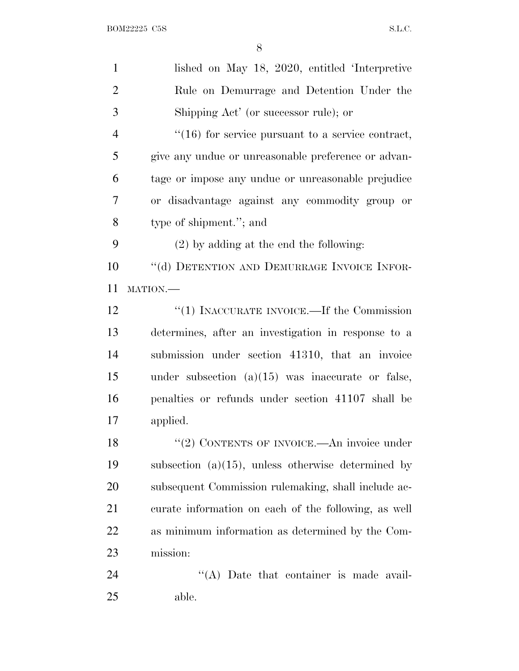| $\mathbf{1}$   | lished on May 18, 2020, entitled 'Interpretive        |
|----------------|-------------------------------------------------------|
| $\overline{2}$ | Rule on Demurrage and Detention Under the             |
| 3              | Shipping Act' (or successor rule); or                 |
| $\overline{4}$ | $"(16)$ for service pursuant to a service contract,   |
| 5              | give any undue or unreasonable preference or advan-   |
| 6              | tage or impose any undue or unreasonable prejudice    |
| 7              | or disadvantage against any commodity group or        |
| 8              | type of shipment."; and                               |
| 9              | $(2)$ by adding at the end the following:             |
| 10             | "(d) DETENTION AND DEMURRAGE INVOICE INFOR-           |
| 11             | MATION.                                               |
| 12             | "(1) INACCURATE INVOICE.—If the Commission            |
| 13             | determines, after an investigation in response to a   |
| 14             | submission under section 41310, that an invoice       |
| 15             | under subsection $(a)(15)$ was inaccurate or false,   |
| 16             | penalties or refunds under section 41107 shall be     |
| 17             | applied.                                              |
| 18             | "(2) CONTENTS OF INVOICE.—An invoice under            |
| 19             | subsection $(a)(15)$ , unless otherwise determined by |
| 20             | subsequent Commission rulemaking, shall include ac-   |
| 21             | curate information on each of the following, as well  |
| <u>22</u>      | as minimum information as determined by the Com-      |
| 23             | mission:                                              |
| 24             | "(A) Date that container is made avail-               |
| 25             | able.                                                 |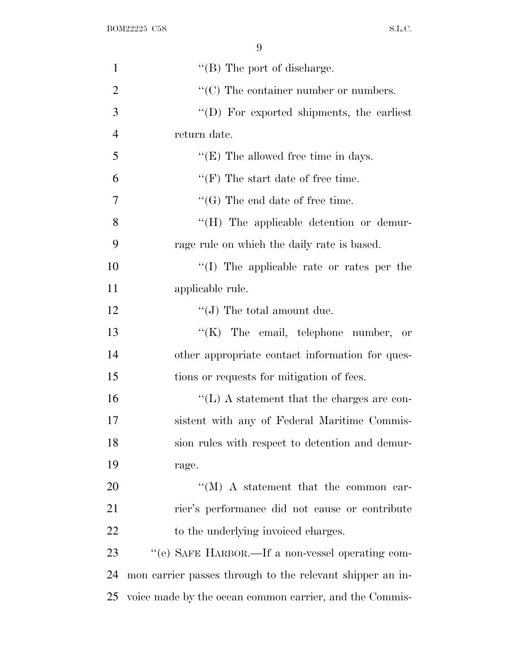| $\mathbf{1}$   | $\lq\lq$ (B) The port of discharge.                       |
|----------------|-----------------------------------------------------------|
| $\overline{2}$ | $\lq\lq$ (C) The container number or numbers.             |
| 3              | "(D) For exported shipments, the earliest                 |
| $\overline{4}$ | return date.                                              |
| 5              | $\lq\lq$ (E) The allowed free time in days.               |
| 6              | $\lq\lq(F)$ The start date of free time.                  |
| 7              | $\lq\lq(G)$ The end date of free time.                    |
| 8              | "(H) The applicable detention or demur-                   |
| 9              | rage rule on which the daily rate is based.               |
| 10             | $\lq\lq$ (I) The applicable rate or rates per the         |
| 11             | applicable rule.                                          |
| 12             | $\lq\lq (J)$ The total amount due.                        |
| 13             | $\lq\lq$ (K) The email, telephone number,<br>- or         |
| 14             | other appropriate contact information for ques-           |
| 15             | tions or requests for mitigation of fees.                 |
| 16             | "(L) A statement that the charges are con-                |
| 17             | sistent with any of Federal Maritime Commis-              |
| 18             | sion rules with respect to detention and demur-           |
| 19             | rage.                                                     |
| 20             | $\lq\lq (M)$ A statement that the common car-             |
| 21             | rier's performance did not cause or contribute            |
| 22             | to the underlying invoiced charges.                       |
| 23             | "(e) SAFE HARBOR.—If a non-vessel operating com-          |
| 24             | mon carrier passes through to the relevant shipper an in- |
| 25             | voice made by the ocean common carrier, and the Commis-   |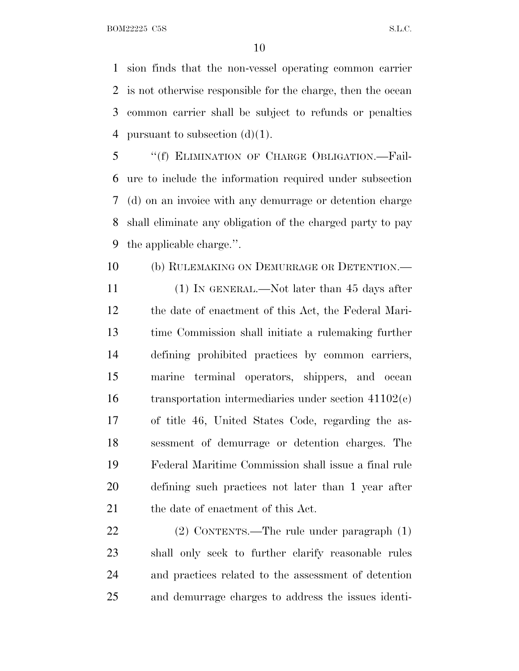BOM22225 C5S S.L.C.

 sion finds that the non-vessel operating common carrier is not otherwise responsible for the charge, then the ocean common carrier shall be subject to refunds or penalties 4 pursuant to subsection  $(d)(1)$ .

 ''(f) ELIMINATION OF CHARGE OBLIGATION.—Fail- ure to include the information required under subsection (d) on an invoice with any demurrage or detention charge shall eliminate any obligation of the charged party to pay the applicable charge.''.

(b) RULEMAKING ON DEMURRAGE OR DETENTION.—

 (1) IN GENERAL.—Not later than 45 days after the date of enactment of this Act, the Federal Mari- time Commission shall initiate a rulemaking further defining prohibited practices by common carriers, marine terminal operators, shippers, and ocean transportation intermediaries under section 41102(c) of title 46, United States Code, regarding the as- sessment of demurrage or detention charges. The Federal Maritime Commission shall issue a final rule defining such practices not later than 1 year after 21 the date of enactment of this Act.

 (2) CONTENTS.—The rule under paragraph (1) shall only seek to further clarify reasonable rules and practices related to the assessment of detention and demurrage charges to address the issues identi-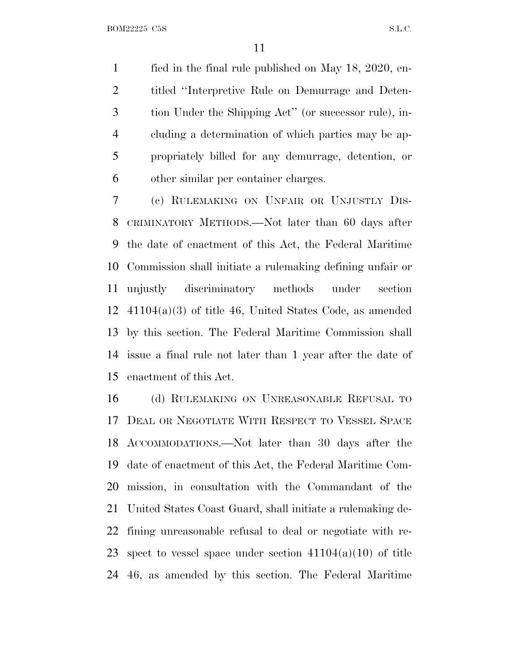fied in the final rule published on May 18, 2020, en- titled ''Interpretive Rule on Demurrage and Deten- tion Under the Shipping Act'' (or successor rule), in- cluding a determination of which parties may be ap- propriately billed for any demurrage, detention, or other similar per container charges.

 (c) RULEMAKING ON UNFAIR OR UNJUSTLY DIS- CRIMINATORY METHODS.—Not later than 60 days after the date of enactment of this Act, the Federal Maritime Commission shall initiate a rulemaking defining unfair or unjustly discriminatory methods under section 41104(a)(3) of title 46, United States Code, as amended by this section. The Federal Maritime Commission shall issue a final rule not later than 1 year after the date of enactment of this Act.

 (d) RULEMAKING ON UNREASONABLE REFUSAL TO DEAL OR NEGOTIATE WITH RESPECT TO VESSEL SPACE ACCOMMODATIONS.—Not later than 30 days after the date of enactment of this Act, the Federal Maritime Com- mission, in consultation with the Commandant of the United States Coast Guard, shall initiate a rulemaking de- fining unreasonable refusal to deal or negotiate with re-23 spect to vessel space under section  $41104(a)(10)$  of title 46, as amended by this section. The Federal Maritime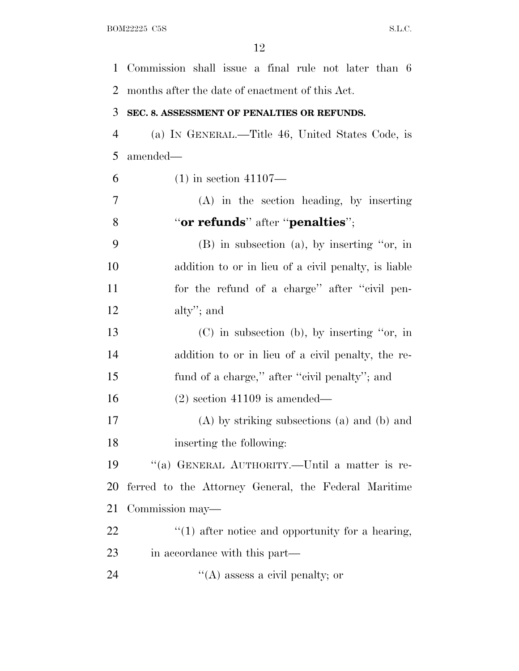| $\mathbf{1}$   | Commission shall issue a final rule not later than 6             |
|----------------|------------------------------------------------------------------|
| 2              | months after the date of enactment of this Act.                  |
| 3              | SEC. 8. ASSESSMENT OF PENALTIES OR REFUNDS.                      |
| $\overline{4}$ | (a) IN GENERAL.—Title 46, United States Code, is                 |
| 5              | amended—                                                         |
| 6              | $(1)$ in section 41107—                                          |
| 7              | (A) in the section heading, by inserting                         |
| 8              | "or refunds" after "penalties";                                  |
| 9              | (B) in subsection (a), by inserting "or, in                      |
| 10             | addition to or in lieu of a civil penalty, is liable             |
| 11             | for the refund of a charge" after "civil pen-                    |
| 12             | $\text{alty}$ "; and                                             |
| 13             | $(C)$ in subsection (b), by inserting "or, in                    |
| 14             | addition to or in lieu of a civil penalty, the re-               |
| 15             | fund of a charge," after "civil penalty"; and                    |
| 16             | $(2)$ section 41109 is amended—                                  |
| 17             | $(A)$ by striking subsections $(a)$ and $(b)$ and                |
| 18             | inserting the following:                                         |
| 19             | "(a) GENERAL AUTHORITY.—Until a matter is re-                    |
| 20             | ferred to the Attorney General, the Federal Maritime             |
| 21             | Commission may—                                                  |
| 22             | $\cdot\cdot\cdot(1)$ after notice and opportunity for a hearing, |
| 23             | in accordance with this part—                                    |
| 24             | $\lq\lq$ assess a civil penalty; or                              |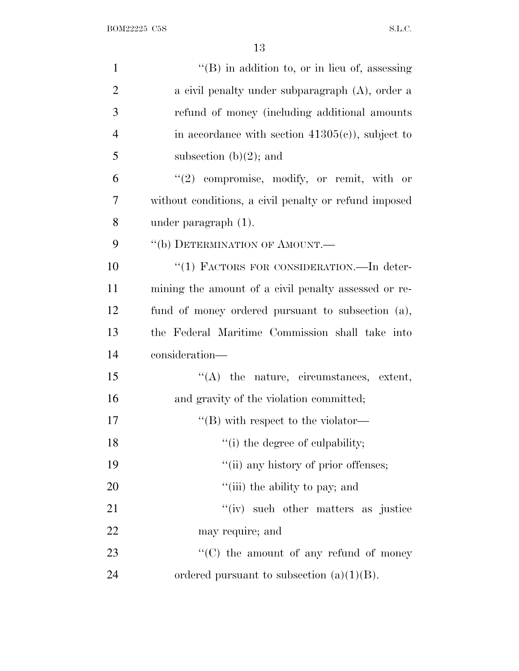| $\mathbf{1}$   | $\lq\lq (B)$ in addition to, or in lieu of, assessing |
|----------------|-------------------------------------------------------|
| $\overline{2}$ | a civil penalty under subparagraph (A), order a       |
| 3              | refund of money (including additional amounts         |
| $\overline{4}$ | in accordance with section $41305(c)$ , subject to    |
| 5              | subsection $(b)(2)$ ; and                             |
| 6              | $(2)$ compromise, modify, or remit, with or           |
| 7              | without conditions, a civil penalty or refund imposed |
| 8              | under paragraph $(1)$ .                               |
| 9              | "(b) DETERMINATION OF AMOUNT.                         |
| 10             | "(1) FACTORS FOR CONSIDERATION. - In deter-           |
| 11             | mining the amount of a civil penalty assessed or re-  |
| 12             | fund of money ordered pursuant to subsection (a),     |
| 13             | the Federal Maritime Commission shall take into       |
| 14             | consideration-                                        |
| 15             | $\lq\lq$ the nature, circumstances, extent,           |
| 16             | and gravity of the violation committed;               |
| 17             | $\lq$ (B) with respect to the violator-               |
| 18             | "(i) the degree of culpability;                       |
| 19             | "(ii) any history of prior offenses;                  |
| 20             | "(iii) the ability to pay; and                        |
| 21             | "(iv) such other matters as justice                   |
| 22             | may require; and                                      |
| 23             | $\lq\lq$ (C) the amount of any refund of money        |
| 24             | ordered pursuant to subsection $(a)(1)(B)$ .          |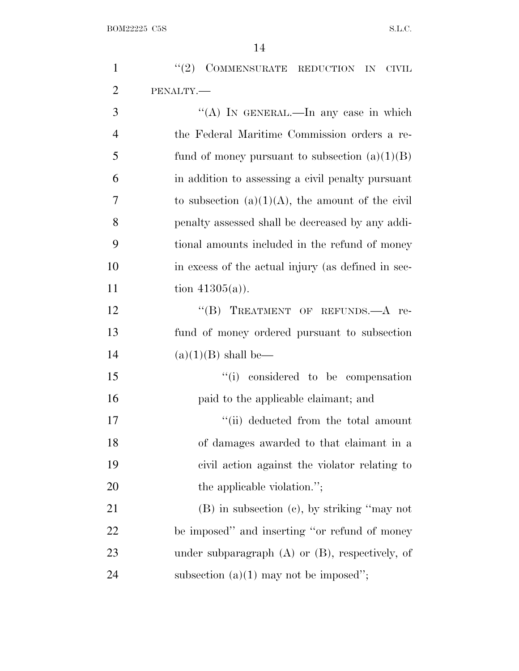| $\mathbf{1}$   | $``(2)$ COMMENSURATE REDUCTION IN<br>CIVIL           |
|----------------|------------------------------------------------------|
| $\overline{2}$ | PENALTY.-                                            |
| 3              | "(A) IN GENERAL.—In any case in which                |
| $\overline{4}$ | the Federal Maritime Commission orders a re-         |
| 5              | fund of money pursuant to subsection $(a)(1)(B)$     |
| 6              | in addition to assessing a civil penalty pursuant    |
| 7              | to subsection $(a)(1)(A)$ , the amount of the civil  |
| 8              | penalty assessed shall be decreased by any addi-     |
| 9              | tional amounts included in the refund of money       |
| 10             | in excess of the actual injury (as defined in sec-   |
| 11             | tion $41305(a)$ ).                                   |
| 12             | "(B) TREATMENT OF REFUNDS.— $A$ re-                  |
| 13             | fund of money ordered pursuant to subsection         |
| 14             | $(a)(1)(B)$ shall be—                                |
| 15             | "(i) considered to be compensation                   |
| 16             | paid to the applicable claimant; and                 |
| 17             | "(ii) deducted from the total amount                 |
| 18             | of damages awarded to that claimant in a             |
| 19             | civil action against the violator relating to        |
| <b>20</b>      | the applicable violation.";                          |
| 21             | $(B)$ in subsection $(c)$ , by striking "may not     |
| 22             | be imposed" and inserting "or refund of money        |
| 23             | under subparagraph $(A)$ or $(B)$ , respectively, of |
| 24             | subsection $(a)(1)$ may not be imposed";             |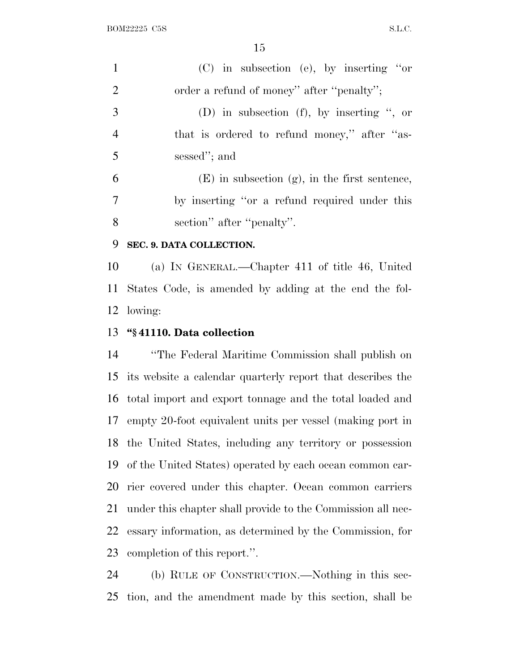| $\mathbf{1}$   | $(C)$ in subsection (e), by inserting "or          |
|----------------|----------------------------------------------------|
| 2              | order a refund of money" after "penalty";          |
| 3              | (D) in subsection (f), by inserting ", or          |
| $\overline{4}$ | that is ordered to refund money," after "as-       |
| $\overline{5}$ | sessed"; and                                       |
| 6              | $(E)$ in subsection $(g)$ , in the first sentence, |
| 7              | by inserting "or a refund required under this      |
| 8              | section" after "penalty".                          |
| 9              | SEC. 9. DATA COLLECTION.                           |

 (a) I<sup>N</sup> GENERAL.—Chapter 411 of title 46, United States Code, is amended by adding at the end the fol-lowing:

## **''§ 41110. Data collection**

 ''The Federal Maritime Commission shall publish on its website a calendar quarterly report that describes the total import and export tonnage and the total loaded and empty 20-foot equivalent units per vessel (making port in the United States, including any territory or possession of the United States) operated by each ocean common car- rier covered under this chapter. Ocean common carriers under this chapter shall provide to the Commission all nec- essary information, as determined by the Commission, for completion of this report.''.

 (b) RULE OF CONSTRUCTION.—Nothing in this sec-tion, and the amendment made by this section, shall be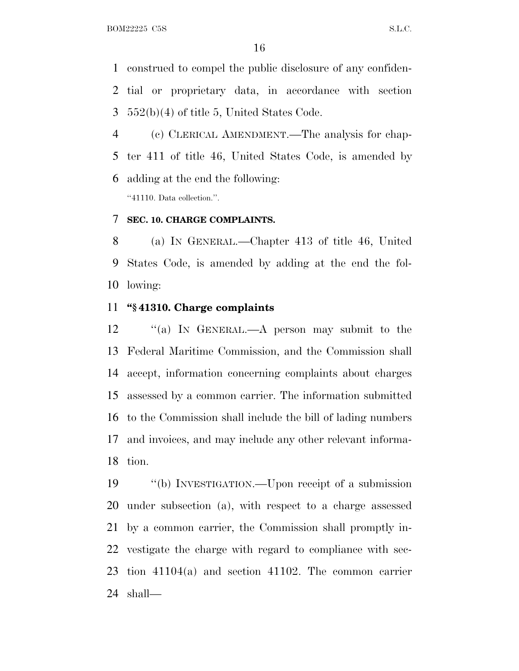construed to compel the public disclosure of any confiden- tial or proprietary data, in accordance with section 552(b)(4) of title 5, United States Code.

 (c) CLERICAL AMENDMENT.—The analysis for chap- ter 411 of title 46, United States Code, is amended by adding at the end the following:

''41110. Data collection.''.

## **SEC. 10. CHARGE COMPLAINTS.**

 (a) I<sup>N</sup> GENERAL.—Chapter 413 of title 46, United States Code, is amended by adding at the end the fol-lowing:

## **''§ 41310. Charge complaints**

 ''(a) I<sup>N</sup> GENERAL.—A person may submit to the Federal Maritime Commission, and the Commission shall accept, information concerning complaints about charges assessed by a common carrier. The information submitted to the Commission shall include the bill of lading numbers and invoices, and may include any other relevant informa-tion.

 ''(b) INVESTIGATION.—Upon receipt of a submission under subsection (a), with respect to a charge assessed by a common carrier, the Commission shall promptly in- vestigate the charge with regard to compliance with sec- tion 41104(a) and section 41102. The common carrier shall—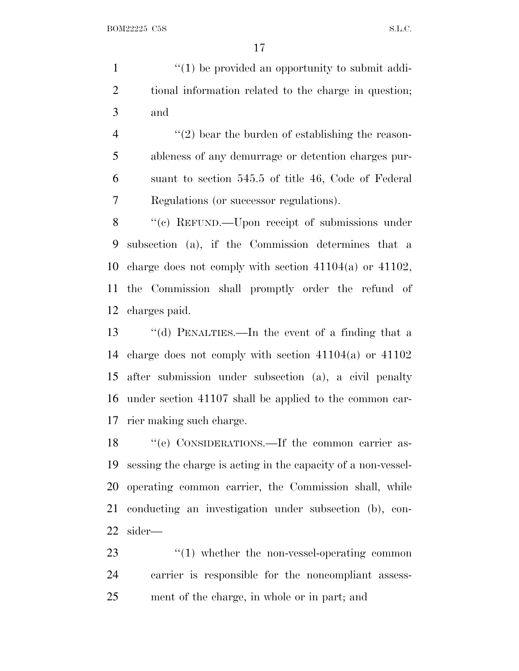1  $\frac{1}{1}$  (1) be provided an opportunity to submit addi- tional information related to the charge in question; and

 $\frac{4}{2}$  ''(2) bear the burden of establishing the reason- ableness of any demurrage or detention charges pur- suant to section 545.5 of title 46, Code of Federal Regulations (or successor regulations).

 ''(c) REFUND.—Upon receipt of submissions under subsection (a), if the Commission determines that a charge does not comply with section 41104(a) or 41102, the Commission shall promptly order the refund of charges paid.

 ''(d) PENALTIES.—In the event of a finding that a charge does not comply with section 41104(a) or 41102 after submission under subsection (a), a civil penalty under section 41107 shall be applied to the common car-rier making such charge.

18 "(e) CONSIDERATIONS.—If the common carrier as- sessing the charge is acting in the capacity of a non-vessel- operating common carrier, the Commission shall, while conducting an investigation under subsection (b), con-sider—

23  $\frac{1}{2}$   $\frac{1}{2}$  whether the non-vessel-operating common carrier is responsible for the noncompliant assess-ment of the charge, in whole or in part; and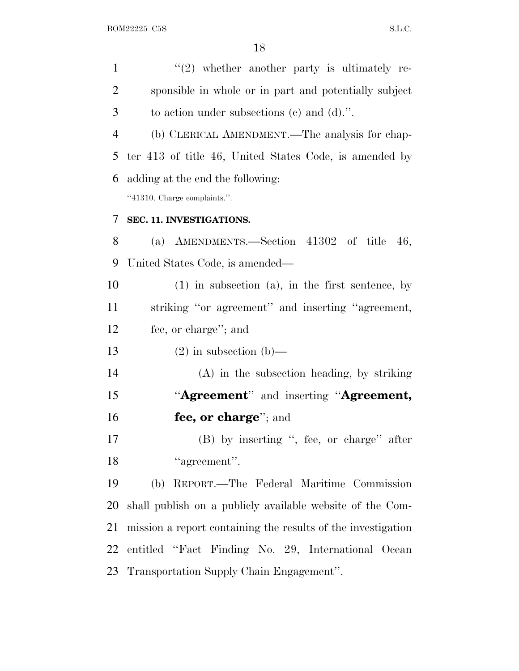| $\mathbf{1}$   | $\lq(2)$ whether another party is ultimately re-             |
|----------------|--------------------------------------------------------------|
| $\overline{2}$ | sponsible in whole or in part and potentially subject        |
| 3              | to action under subsections $(c)$ and $(d)$ .".              |
| 4              | (b) CLERICAL AMENDMENT.—The analysis for chap-               |
| 5              | ter 413 of title 46, United States Code, is amended by       |
| 6              | adding at the end the following:                             |
|                | "41310. Charge complaints.".                                 |
| 7              | SEC. 11. INVESTIGATIONS.                                     |
| 8              | (a) AMENDMENTS.—Section $41302$ of title 46,                 |
| 9              | United States Code, is amended—                              |
| 10             | $(1)$ in subsection $(a)$ , in the first sentence, by        |
| 11             | striking "or agreement" and inserting "agreement,            |
| 12             | fee, or charge"; and                                         |
| 13             | $(2)$ in subsection $(b)$ —                                  |
| 14             | $(A)$ in the subsection heading, by striking                 |
| 15             | "Agreement" and inserting "Agreement,                        |
| 16             | fee, or charge"; and                                         |
| 17             | (B) by inserting ", fee, or charge" after                    |
| 18             | "agreement".                                                 |
| 19             | (b) REPORT.—The Federal Maritime Commission                  |
| 20             | shall publish on a publicly available website of the Com-    |
| 21             | mission a report containing the results of the investigation |
| 22             | entitled "Fact Finding No. 29, International Ocean           |
| 23             | Transportation Supply Chain Engagement".                     |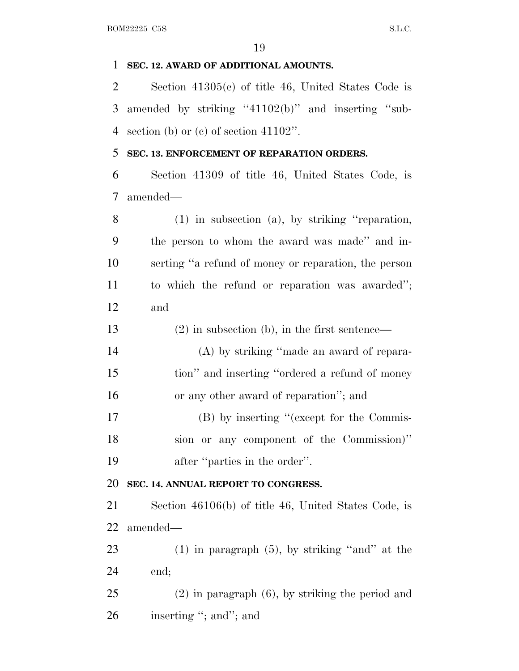#### **SEC. 12. AWARD OF ADDITIONAL AMOUNTS.**

 Section 41305(c) of title 46, United States Code is 3 amended by striking "41102(b)" and inserting "sub-section (b) or (c) of section 41102''.

## **SEC. 13. ENFORCEMENT OF REPARATION ORDERS.**

 Section 41309 of title 46, United States Code, is amended—

 (1) in subsection (a), by striking ''reparation, the person to whom the award was made'' and in- serting ''a refund of money or reparation, the person to which the refund or reparation was awarded''; and

(2) in subsection (b), in the first sentence—

 (A) by striking ''made an award of repara- tion'' and inserting ''ordered a refund of money or any other award of reparation''; and

 (B) by inserting ''(except for the Commis- sion or any component of the Commission)'' after ''parties in the order''.

#### **SEC. 14. ANNUAL REPORT TO CONGRESS.**

 Section 46106(b) of title 46, United States Code, is amended—

 (1) in paragraph (5), by striking ''and'' at the end;

 (2) in paragraph (6), by striking the period and 26 inserting "; and"; and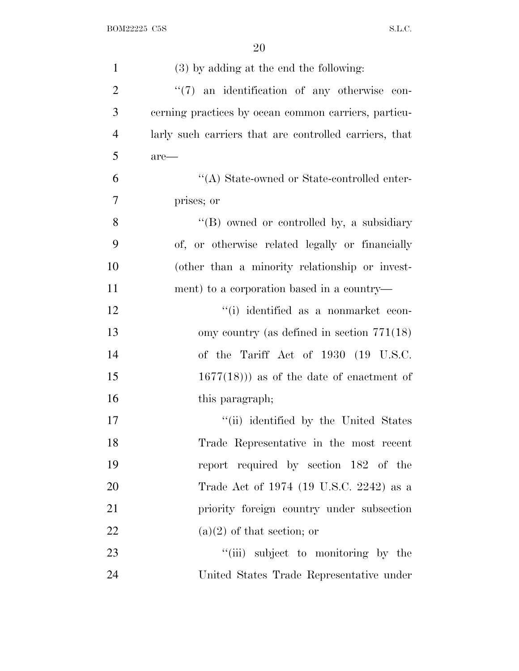| $\mathbf{1}$   | (3) by adding at the end the following:                |
|----------------|--------------------------------------------------------|
| $\overline{2}$ | $\lq(7)$ an identification of any otherwise con-       |
| 3              | cerning practices by ocean common carriers, particu-   |
| $\overline{4}$ | larly such carriers that are controlled carriers, that |
| 5              | are—                                                   |
| 6              | "(A) State-owned or State-controlled enter-            |
| 7              | prises; or                                             |
| 8              | "(B) owned or controlled by, a subsidiary              |
| 9              | of, or otherwise related legally or financially        |
| 10             | (other than a minority relationship or invest-         |
| 11             | ment) to a corporation based in a country—             |
| 12             | "(i) identified as a nonmarket econ-                   |
| 13             | omy country (as defined in section $771(18)$ )         |
| 14             | of the Tariff Act of 1930 (19 U.S.C.                   |
| 15             | $(1677(18)))$ as of the date of enactment of           |
| 16             | this paragraph;                                        |
| 17             | "(ii) identified by the United States                  |
| 18             | Trade Representative in the most recent                |
| 19             | report required by section 182 of the                  |
| 20             | Trade Act of 1974 (19 U.S.C. 2242) as a                |
| 21             | priority foreign country under subsection              |
| 22             | $(a)(2)$ of that section; or                           |
| 23             | "(iii) subject to monitoring by the                    |
| 24             | United States Trade Representative under               |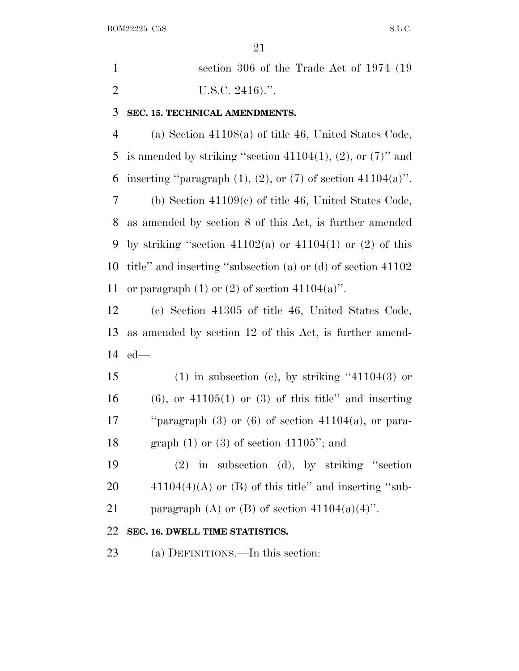1 section 306 of the Trade Act of 1974 (19 2 U.S.C. 2416).''.

#### 3 **SEC. 15. TECHNICAL AMENDMENTS.**

4 (a) Section 41108(a) of title 46, United States Code, 5 is amended by striking "section  $41104(1)$ ,  $(2)$ , or  $(7)$ " and 6 inserting "paragraph  $(1)$ ,  $(2)$ , or  $(7)$  of section  $41104(a)$ ".

7 (b) Section 41109(c) of title 46, United States Code, 8 as amended by section 8 of this Act, is further amended 9 by striking "section  $41102(a)$  or  $41104(1)$  or  $(2)$  of this 10 title'' and inserting ''subsection (a) or (d) of section 41102 11 or paragraph  $(1)$  or  $(2)$  of section  $41104(a)$ ".

12 (c) Section 41305 of title 46, United States Code, 13 as amended by section 12 of this Act, is further amend-14 ed—

15 (1) in subsection (c), by striking  $(41104(3)$  or 16 (6), or  $41105(1)$  or (3) of this title" and inserting 17  $"param<sub>10</sub>(3) or (6) of section 41104(a), or para-$ 18 graph (1) or (3) of section 41105''; and

19 (2) in subsection (d), by striking ''section 20  $41104(4)(A)$  or (B) of this title" and inserting "sub-21 paragraph (A) or (B) of section  $41104(a)(4)$ ".

#### 22 **SEC. 16. DWELL TIME STATISTICS.**

23 (a) DEFINITIONS.—In this section: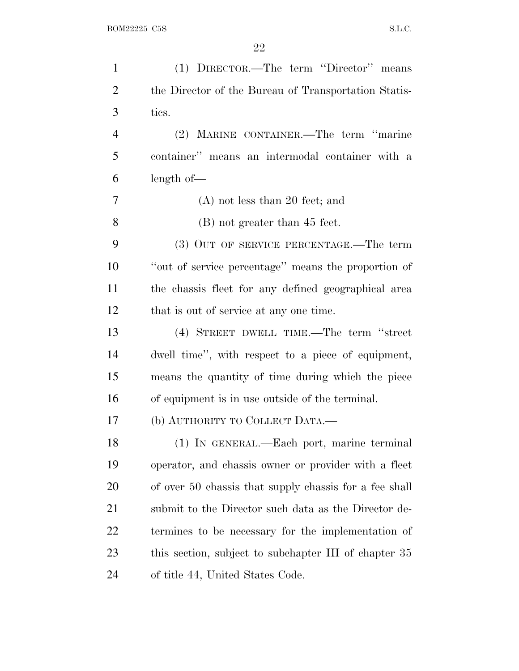| $\mathbf{1}$   | (1) DIRECTOR.—The term "Director" means                |
|----------------|--------------------------------------------------------|
| $\overline{2}$ | the Director of the Bureau of Transportation Statis-   |
| 3              | tics.                                                  |
| $\overline{4}$ | (2) MARINE CONTAINER.—The term "marine                 |
| 5              | container" means an intermodal container with a        |
| 6              | $length of -$                                          |
| 7              | $(A)$ not less than 20 feet; and                       |
| 8              | (B) not greater than 45 feet.                          |
| 9              | (3) OUT OF SERVICE PERCENTAGE.—The term                |
| 10             | "out of service percentage" means the proportion of    |
| 11             | the chassis fleet for any defined geographical area    |
| 12             | that is out of service at any one time.                |
| 13             | (4) STREET DWELL TIME.—The term "street                |
| 14             | dwell time", with respect to a piece of equipment,     |
| 15             | means the quantity of time during which the piece      |
| 16             | of equipment is in use outside of the terminal.        |
| 17             | (b) AUTHORITY TO COLLECT DATA.—                        |
| 18             | (1) IN GENERAL.—Each port, marine terminal             |
| 19             | operator, and chassis owner or provider with a fleet   |
| 20             | of over 50 chassis that supply chassis for a fee shall |
| 21             | submit to the Director such data as the Director de-   |
| 22             | termines to be necessary for the implementation of     |
| 23             | this section, subject to subchapter III of chapter 35  |
| 24             | of title 44, United States Code.                       |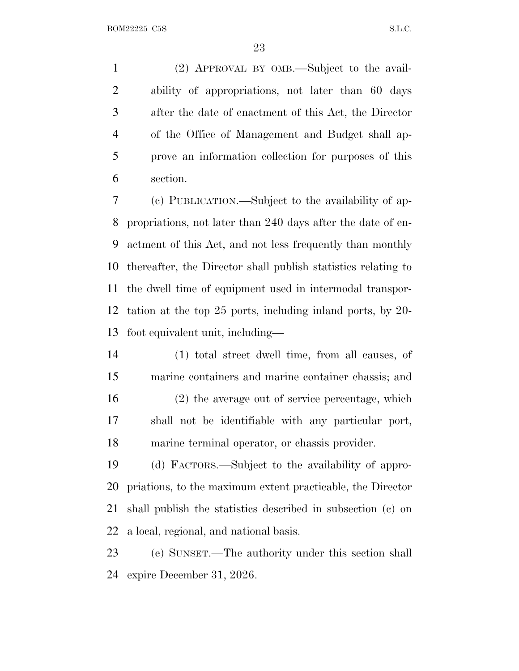(2) APPROVAL BY OMB.—Subject to the avail- ability of appropriations, not later than 60 days after the date of enactment of this Act, the Director of the Office of Management and Budget shall ap- prove an information collection for purposes of this section.

 (c) PUBLICATION.—Subject to the availability of ap- propriations, not later than 240 days after the date of en- actment of this Act, and not less frequently than monthly thereafter, the Director shall publish statistics relating to the dwell time of equipment used in intermodal transpor- tation at the top 25 ports, including inland ports, by 20- foot equivalent unit, including—

 (1) total street dwell time, from all causes, of marine containers and marine container chassis; and (2) the average out of service percentage, which shall not be identifiable with any particular port, marine terminal operator, or chassis provider.

 (d) FACTORS.—Subject to the availability of appro- priations, to the maximum extent practicable, the Director shall publish the statistics described in subsection (c) on a local, regional, and national basis.

 (e) SUNSET.—The authority under this section shall expire December 31, 2026.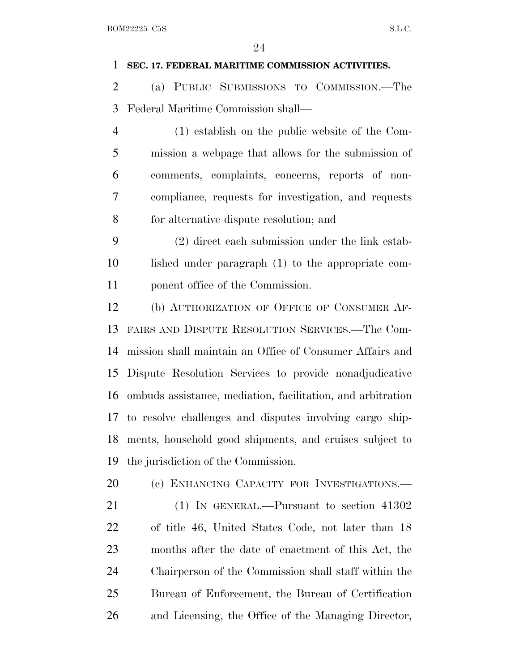#### **SEC. 17. FEDERAL MARITIME COMMISSION ACTIVITIES.**

 (a) PUBLIC SUBMISSIONS TO COMMISSION.—The Federal Maritime Commission shall—

 (1) establish on the public website of the Com- mission a webpage that allows for the submission of comments, complaints, concerns, reports of non- compliance, requests for investigation, and requests for alternative dispute resolution; and

 (2) direct each submission under the link estab- lished under paragraph (1) to the appropriate com-ponent office of the Commission.

 (b) AUTHORIZATION OF OFFICE OF CONSUMER AF- FAIRS AND DISPUTE RESOLUTION SERVICES.—The Com- mission shall maintain an Office of Consumer Affairs and Dispute Resolution Services to provide nonadjudicative ombuds assistance, mediation, facilitation, and arbitration to resolve challenges and disputes involving cargo ship- ments, household good shipments, and cruises subject to the jurisdiction of the Commission.

20 (c) ENHANCING CAPACITY FOR INVESTIGATIONS. (1) IN GENERAL.—Pursuant to section 41302 of title 46, United States Code, not later than 18 months after the date of enactment of this Act, the Chairperson of the Commission shall staff within the Bureau of Enforcement, the Bureau of Certification and Licensing, the Office of the Managing Director,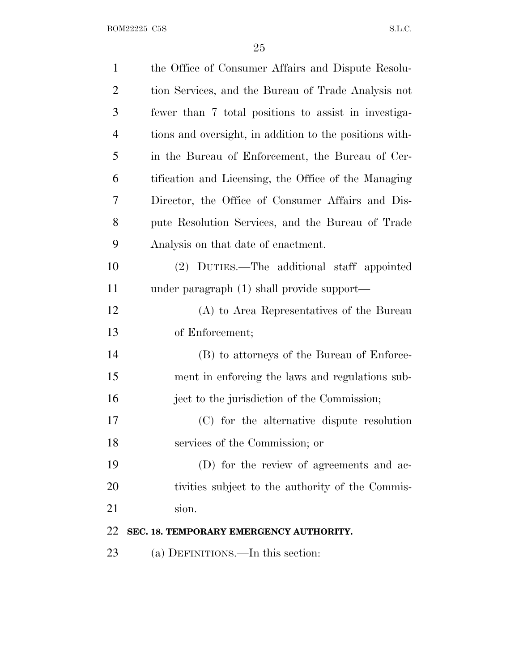BOM22225 C5S  $S.L.C.$ 

| $\mathbf{1}$   | the Office of Consumer Affairs and Dispute Resolu-      |
|----------------|---------------------------------------------------------|
| $\overline{2}$ | tion Services, and the Bureau of Trade Analysis not     |
| 3              | fewer than 7 total positions to assist in investiga-    |
| $\overline{4}$ | tions and oversight, in addition to the positions with- |
| 5              | in the Bureau of Enforcement, the Bureau of Cer-        |
| 6              | tification and Licensing, the Office of the Managing    |
| 7              | Director, the Office of Consumer Affairs and Dis-       |
| 8              | pute Resolution Services, and the Bureau of Trade       |
| 9              | Analysis on that date of enactment.                     |
| 10             | (2) DUTIES.—The additional staff appointed              |
| 11             | under paragraph (1) shall provide support—              |
| 12             | (A) to Area Representatives of the Bureau               |
| 13             | of Enforcement;                                         |
| 14             | (B) to attorneys of the Bureau of Enforce-              |
| 15             | ment in enforcing the laws and regulations sub-         |
| 16             | ject to the jurisdiction of the Commission;             |
| 17             | (C) for the alternative dispute resolution              |
| 18             | services of the Commission; or                          |
| 19             | (D) for the review of agreements and ac-                |
| 20             | tivities subject to the authority of the Commis-        |
| 21             | sion.                                                   |
| 22             | SEC. 18. TEMPORARY EMERGENCY AUTHORITY.                 |
| 23             | (a) DEFINITIONS.—In this section:                       |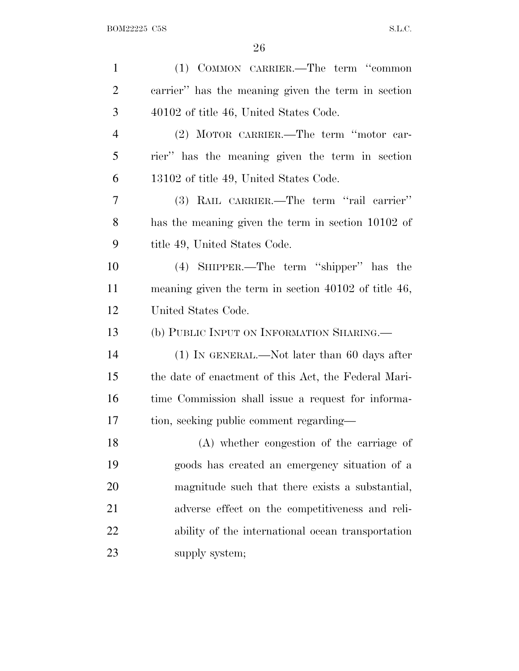| $\mathbf{1}$   | (1) COMMON CARRIER.—The term "common                   |
|----------------|--------------------------------------------------------|
| $\overline{2}$ | carrier" has the meaning given the term in section     |
| 3              | 40102 of title 46, United States Code.                 |
| $\overline{4}$ | (2) MOTOR CARRIER.—The term "motor car-                |
| 5              | rier" has the meaning given the term in section        |
| 6              | 13102 of title 49, United States Code.                 |
| 7              | (3) RAIL CARRIER.—The term "rail carrier"              |
| 8              | has the meaning given the term in section 10102 of     |
| 9              | title 49, United States Code.                          |
| 10             | (4) SHIPPER.—The term "shipper" has the                |
| 11             | meaning given the term in section $40102$ of title 46, |
| 12             | United States Code.                                    |
| 13             | (b) PUBLIC INPUT ON INFORMATION SHARING.—              |
| 14             | $(1)$ In GENERAL.—Not later than 60 days after         |
| 15             | the date of enactment of this Act, the Federal Mari-   |
| 16             | time Commission shall issue a request for informa-     |
| 17             | tion, seeking public comment regarding—                |
| 18             | (A) whether congestion of the carriage of              |
| 19             | goods has created an emergency situation of a          |
| 20             | magnitude such that there exists a substantial,        |
| 21             | adverse effect on the competitiveness and reli-        |
| 22             | ability of the international ocean transportation      |
| 23             | supply system;                                         |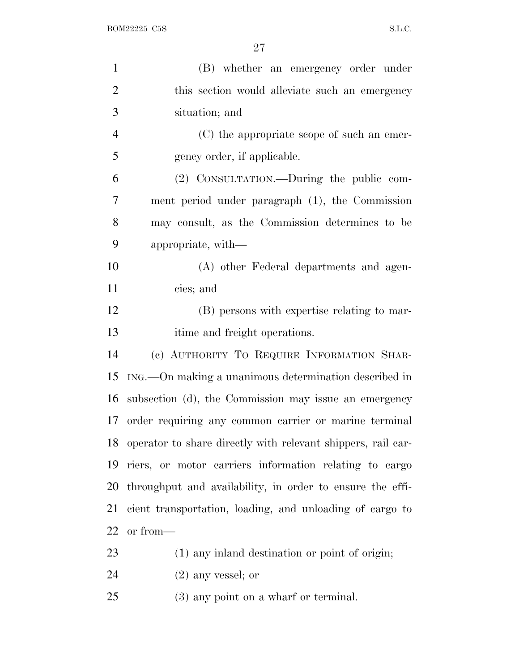| $\mathbf{1}$   | (B) whether an emergency order under                         |
|----------------|--------------------------------------------------------------|
| $\overline{2}$ | this section would alleviate such an emergency               |
| 3              | situation; and                                               |
| $\overline{4}$ | (C) the appropriate scope of such an emer-                   |
| 5              | gency order, if applicable.                                  |
| 6              | (2) CONSULTATION.—During the public com-                     |
| 7              | ment period under paragraph (1), the Commission              |
| 8              | may consult, as the Commission determines to be              |
| 9              | appropriate, with—                                           |
| 10             | (A) other Federal departments and agen-                      |
| 11             | cies; and                                                    |
| 12             | (B) persons with expertise relating to mar-                  |
| 13             | itime and freight operations.                                |
| 14             | (c) AUTHORITY TO REQUIRE INFORMATION SHAR-                   |
| 15             | ING.—On making a unanimous determination described in        |
| 16             | subsection (d), the Commission may issue an emergency        |
|                | 17 order requiring any common carrier or marine terminal     |
| 18             | operator to share directly with relevant shippers, rail car- |
| 19             | riers, or motor carriers information relating to cargo       |
| 20             | throughput and availability, in order to ensure the effi-    |
| 21             | cient transportation, loading, and unloading of cargo to     |
| 22             | or from-                                                     |
| 23             | (1) any inland destination or point of origin;               |
| 24             | $(2)$ any vessel; or                                         |
|                |                                                              |

(3) any point on a wharf or terminal.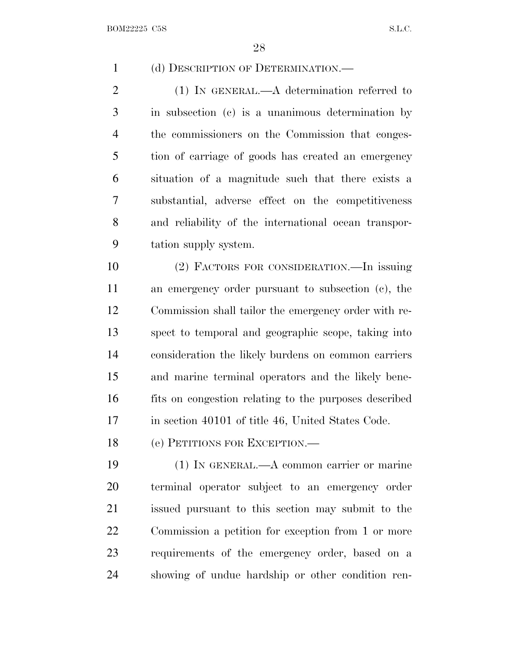(d) DESCRIPTION OF DETERMINATION.—

 (1) IN GENERAL.—A determination referred to in subsection (c) is a unanimous determination by the commissioners on the Commission that conges- tion of carriage of goods has created an emergency situation of a magnitude such that there exists a substantial, adverse effect on the competitiveness and reliability of the international ocean transpor-tation supply system.

 (2) FACTORS FOR CONSIDERATION.—In issuing an emergency order pursuant to subsection (c), the Commission shall tailor the emergency order with re- spect to temporal and geographic scope, taking into consideration the likely burdens on common carriers and marine terminal operators and the likely bene- fits on congestion relating to the purposes described 17 in section 40101 of title 46, United States Code.

18 (e) PETITIONS FOR EXCEPTION.—

 (1) IN GENERAL.—A common carrier or marine terminal operator subject to an emergency order issued pursuant to this section may submit to the Commission a petition for exception from 1 or more requirements of the emergency order, based on a showing of undue hardship or other condition ren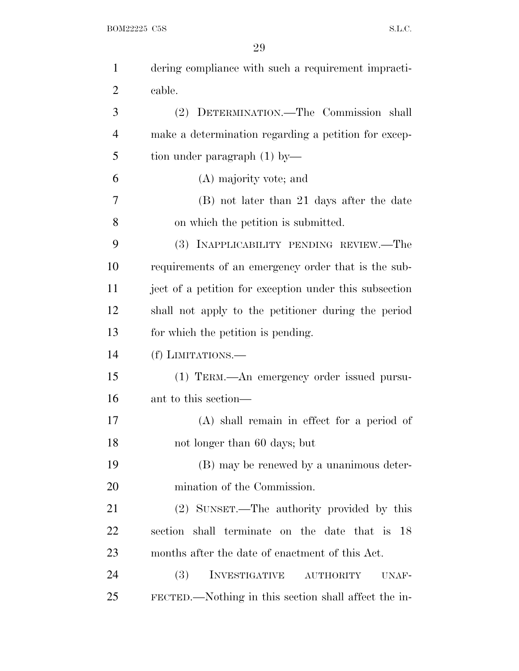BOM22225 C5S  $S.L.C.$ 

| $\mathbf{1}$   | dering compliance with such a requirement impracti-    |
|----------------|--------------------------------------------------------|
| $\overline{2}$ | cable.                                                 |
| 3              | (2) DETERMINATION.—The Commission shall                |
| 4              | make a determination regarding a petition for excep-   |
| 5              | tion under paragraph $(1)$ by—                         |
| 6              | (A) majority vote; and                                 |
| 7              | (B) not later than 21 days after the date              |
| 8              | on which the petition is submitted.                    |
| 9              | (3) INAPPLICABILITY PENDING REVIEW.—The                |
| 10             | requirements of an emergency order that is the sub-    |
| 11             | ject of a petition for exception under this subsection |
| 12             | shall not apply to the petitioner during the period    |
| 13             | for which the petition is pending.                     |
| 14             | (f) LIMITATIONS.—                                      |
| 15             | (1) TERM.—An emergency order issued pursu-             |
| 16             | ant to this section—                                   |
| 17             | $(A)$ shall remain in effect for a period of           |
| 18             | not longer than 60 days; but                           |
| 19             | (B) may be renewed by a unanimous deter-               |
| 20             | mination of the Commission.                            |
| 21             | (2) SUNSET.—The authority provided by this             |
| 22             | section shall terminate on the date that is 18         |
| 23             | months after the date of enactment of this Act.        |
| 24             | <b>(3)</b><br>INVESTIGATIVE AUTHORITY<br>UNAF-         |
| 25             | FECTED.—Nothing in this section shall affect the in-   |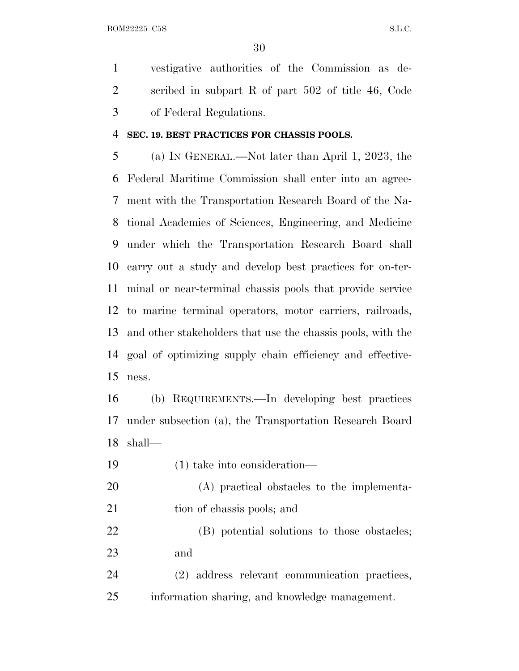BOM22225 C5S S.L.C.

 vestigative authorities of the Commission as de- scribed in subpart R of part 502 of title 46, Code of Federal Regulations.

#### **SEC. 19. BEST PRACTICES FOR CHASSIS POOLS.**

 (a) I<sup>N</sup> GENERAL.—Not later than April 1, 2023, the Federal Maritime Commission shall enter into an agree- ment with the Transportation Research Board of the Na- tional Academies of Sciences, Engineering, and Medicine under which the Transportation Research Board shall carry out a study and develop best practices for on-ter- minal or near-terminal chassis pools that provide service to marine terminal operators, motor carriers, railroads, and other stakeholders that use the chassis pools, with the goal of optimizing supply chain efficiency and effective-ness.

 (b) REQUIREMENTS.—In developing best practices under subsection (a), the Transportation Research Board shall—

(1) take into consideration—

- (A) practical obstacles to the implementa-21 tion of chassis pools; and
- (B) potential solutions to those obstacles; and

 (2) address relevant communication practices, information sharing, and knowledge management.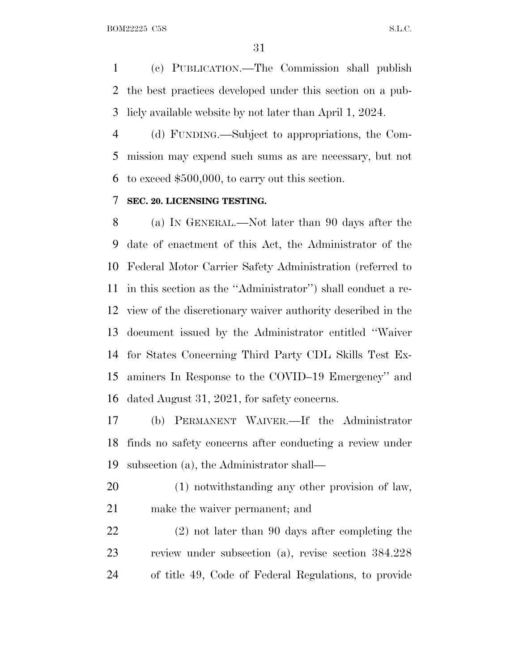(c) PUBLICATION.—The Commission shall publish the best practices developed under this section on a pub-licly available website by not later than April 1, 2024.

 (d) FUNDING.—Subject to appropriations, the Com- mission may expend such sums as are necessary, but not to exceed \$500,000, to carry out this section.

### **SEC. 20. LICENSING TESTING.**

 (a) I<sup>N</sup> GENERAL.—Not later than 90 days after the date of enactment of this Act, the Administrator of the Federal Motor Carrier Safety Administration (referred to in this section as the ''Administrator'') shall conduct a re- view of the discretionary waiver authority described in the document issued by the Administrator entitled ''Waiver for States Concerning Third Party CDL Skills Test Ex- aminers In Response to the COVID–19 Emergency'' and dated August 31, 2021, for safety concerns.

 (b) PERMANENT WAIVER.—If the Administrator finds no safety concerns after conducting a review under subsection (a), the Administrator shall—

 (1) notwithstanding any other provision of law, make the waiver permanent; and

 (2) not later than 90 days after completing the review under subsection (a), revise section 384.228 of title 49, Code of Federal Regulations, to provide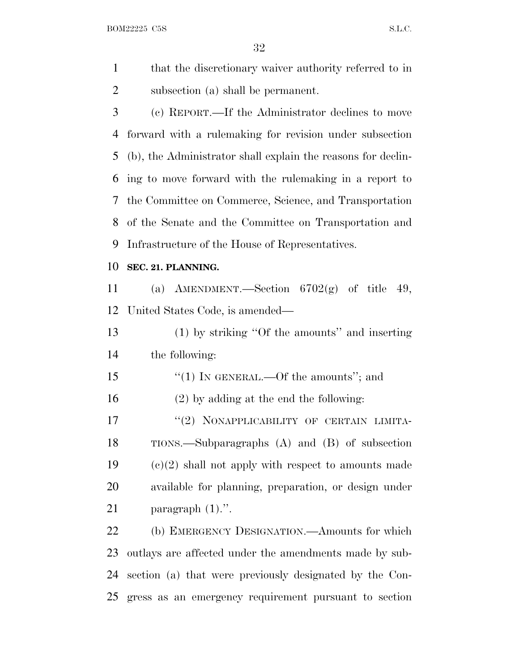BOM22225 C5S S.L.C.

 that the discretionary waiver authority referred to in subsection (a) shall be permanent.

 (c) REPORT.—If the Administrator declines to move forward with a rulemaking for revision under subsection (b), the Administrator shall explain the reasons for declin- ing to move forward with the rulemaking in a report to the Committee on Commerce, Science, and Transportation of the Senate and the Committee on Transportation and Infrastructure of the House of Representatives.

#### **SEC. 21. PLANNING.**

 (a) AMENDMENT.—Section 6702(g) of title 49, United States Code, is amended—

 (1) by striking ''Of the amounts'' and inserting the following:

15 "(1) IN GENERAL.—Of the amounts"; and

(2) by adding at the end the following:

17 "(2) NONAPPLICABILITY OF CERTAIN LIMITA- TIONS.—Subparagraphs (A) and (B) of subsection (e)(2) shall not apply with respect to amounts made available for planning, preparation, or design under 21 paragraph  $(1)$ .".

 (b) EMERGENCY DESIGNATION.—Amounts for which outlays are affected under the amendments made by sub- section (a) that were previously designated by the Con-gress as an emergency requirement pursuant to section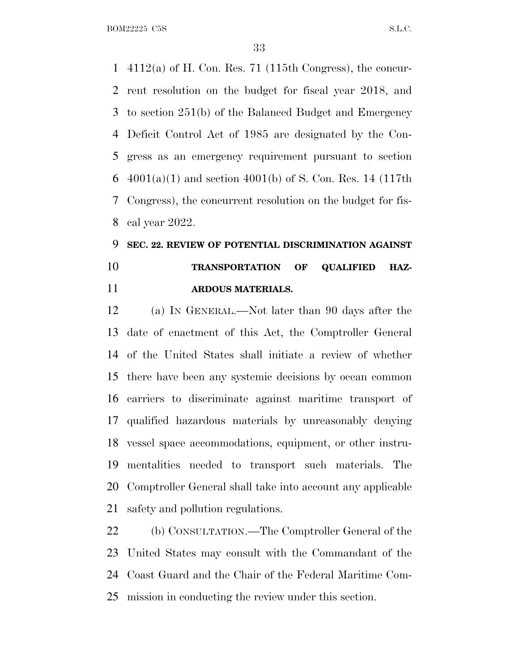BOM22225 C5S S.L.C.

 4112(a) of H. Con. Res. 71 (115th Congress), the concur- rent resolution on the budget for fiscal year 2018, and to section 251(b) of the Balanced Budget and Emergency Deficit Control Act of 1985 are designated by the Con- gress as an emergency requirement pursuant to section 6 4001(a)(1) and section 4001(b) of S. Con. Res. 14 (117th Congress), the concurrent resolution on the budget for fis-cal year 2022.

# **SEC. 22. REVIEW OF POTENTIAL DISCRIMINATION AGAINST TRANSPORTATION OF QUALIFIED HAZ-ARDOUS MATERIALS.**

 (a) I<sup>N</sup> GENERAL.—Not later than 90 days after the date of enactment of this Act, the Comptroller General of the United States shall initiate a review of whether there have been any systemic decisions by ocean common carriers to discriminate against maritime transport of qualified hazardous materials by unreasonably denying vessel space accommodations, equipment, or other instru- mentalities needed to transport such materials. The Comptroller General shall take into account any applicable safety and pollution regulations.

 (b) CONSULTATION.—The Comptroller General of the United States may consult with the Commandant of the Coast Guard and the Chair of the Federal Maritime Com-mission in conducting the review under this section.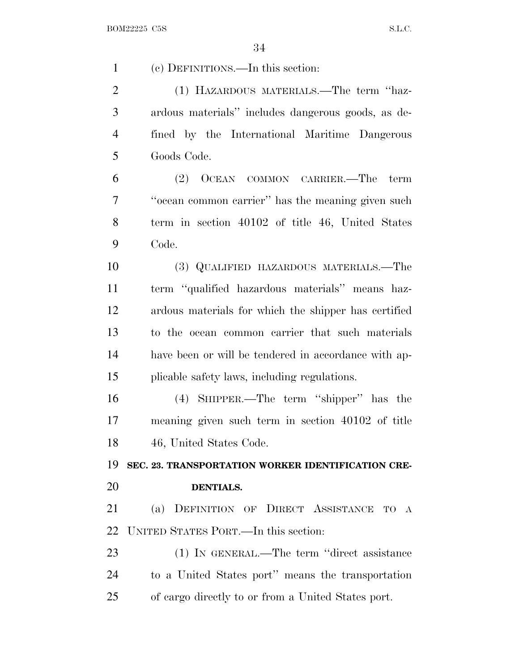(c) DEFINITIONS.—In this section: (1) HAZARDOUS MATERIALS.—The term ''haz- ardous materials'' includes dangerous goods, as de- fined by the International Maritime Dangerous Goods Code. (2) OCEAN COMMON CARRIER.—The term ''ocean common carrier'' has the meaning given such term in section 40102 of title 46, United States Code. (3) QUALIFIED HAZARDOUS MATERIALS.—The term ''qualified hazardous materials'' means haz- ardous materials for which the shipper has certified to the ocean common carrier that such materials have been or will be tendered in accordance with ap- plicable safety laws, including regulations. (4) SHIPPER.—The term ''shipper'' has the meaning given such term in section 40102 of title 46, United States Code. **SEC. 23. TRANSPORTATION WORKER IDENTIFICATION CRE- DENTIALS.** (a) DEFINITION OF DIRECT ASSISTANCE TO A UNITED STATES PORT.—In this section: (1) IN GENERAL.—The term ''direct assistance to a United States port'' means the transportation of cargo directly to or from a United States port.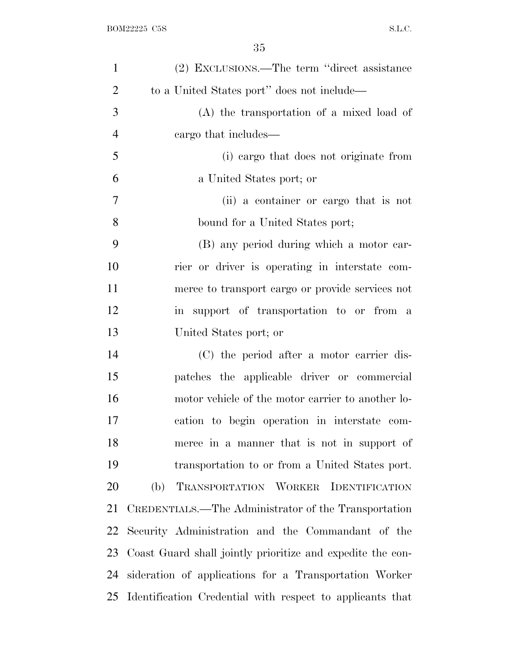| $\mathbf{1}$   | (2) EXCLUSIONS.—The term "direct assistance                |
|----------------|------------------------------------------------------------|
| $\overline{2}$ | to a United States port" does not include—                 |
| 3              | $(A)$ the transportation of a mixed load of                |
| $\overline{4}$ | cargo that includes—                                       |
| 5              | (i) cargo that does not originate from                     |
| 6              | a United States port; or                                   |
| $\overline{7}$ | (ii) a container or cargo that is not                      |
| 8              | bound for a United States port;                            |
| 9              | (B) any period during which a motor car-                   |
| 10             | rier or driver is operating in interstate com-             |
| 11             | merce to transport cargo or provide services not           |
| 12             | in support of transportation to or from a                  |
| 13             | United States port; or                                     |
| 14             | (C) the period after a motor carrier dis-                  |
| 15             | patches the applicable driver or commercial                |
| 16             | motor vehicle of the motor carrier to another lo-          |
| 17             | cation to begin operation in interstate com-               |
| 18             | merce in a manner that is not in support of                |
| 19             | transportation to or from a United States port.            |
| 20             | TRANSPORTATION WORKER IDENTIFICATION<br>(b)                |
| 21             | CREDENTIALS.—The Administrator of the Transportation       |
| 22             | Security Administration and the Commandant of the          |
| 23             | Coast Guard shall jointly prioritize and expedite the con- |
| 24             | sideration of applications for a Transportation Worker     |
| 25             | Identification Credential with respect to applicants that  |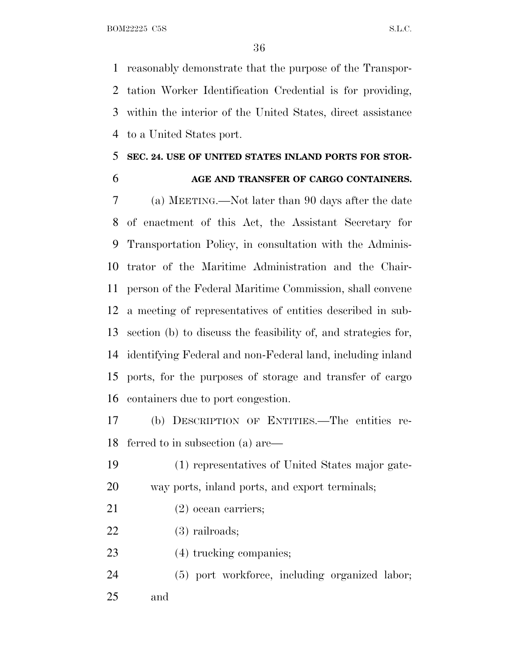reasonably demonstrate that the purpose of the Transpor- tation Worker Identification Credential is for providing, within the interior of the United States, direct assistance to a United States port.

## **SEC. 24. USE OF UNITED STATES INLAND PORTS FOR STOR-**

## **AGE AND TRANSFER OF CARGO CONTAINERS.**

 (a) MEETING.—Not later than 90 days after the date of enactment of this Act, the Assistant Secretary for Transportation Policy, in consultation with the Adminis- trator of the Maritime Administration and the Chair- person of the Federal Maritime Commission, shall convene a meeting of representatives of entities described in sub- section (b) to discuss the feasibility of, and strategies for, identifying Federal and non-Federal land, including inland ports, for the purposes of storage and transfer of cargo containers due to port congestion.

 (b) DESCRIPTION OF ENTITIES.—The entities re-ferred to in subsection (a) are—

 (1) representatives of United States major gate-way ports, inland ports, and export terminals;

- 21 (2) ocean carriers;
- (3) railroads;
- (4) trucking companies;
- (5) port workforce, including organized labor; and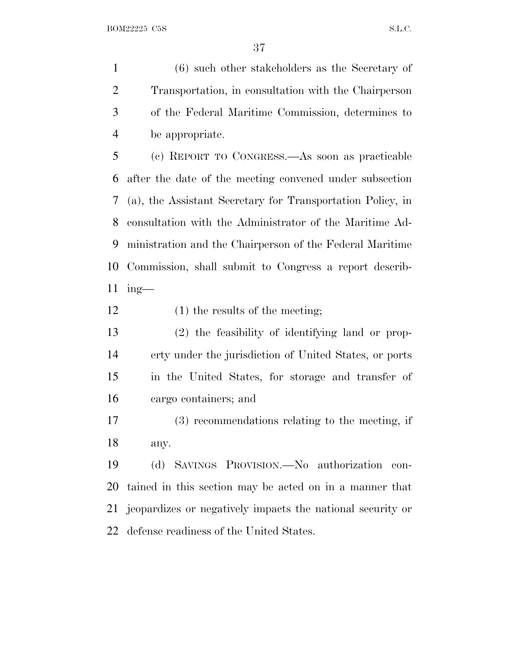(6) such other stakeholders as the Secretary of Transportation, in consultation with the Chairperson of the Federal Maritime Commission, determines to be appropriate.

 (c) REPORT TO CONGRESS.—As soon as practicable after the date of the meeting convened under subsection (a), the Assistant Secretary for Transportation Policy, in consultation with the Administrator of the Maritime Ad- ministration and the Chairperson of the Federal Maritime Commission, shall submit to Congress a report describ-ing—

12 (1) the results of the meeting;

 (2) the feasibility of identifying land or prop- erty under the jurisdiction of United States, or ports in the United States, for storage and transfer of cargo containers; and

 (3) recommendations relating to the meeting, if any.

 (d) SAVINGS PROVISION.—No authorization con- tained in this section may be acted on in a manner that jeopardizes or negatively impacts the national security or defense readiness of the United States.